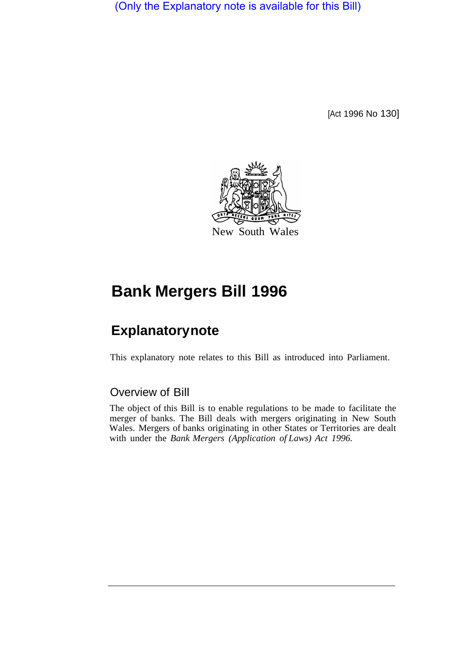(Only the Explanatory note is available for this Bill)

[Act 1996 No 130]



## **Bank Mergers Bill 1996**

## **Explanatory note**

This explanatory note relates to this Bill as introduced into Parliament.

## Overview of Bill

The object of this Bill is to enable regulations to be made to facilitate the merger of banks. The Bill deals with mergers originating in New South Wales. Mergers of banks originating in other States or Territories are dealt with under the *Bank Mergers (Application of Laws) Act 1996.*